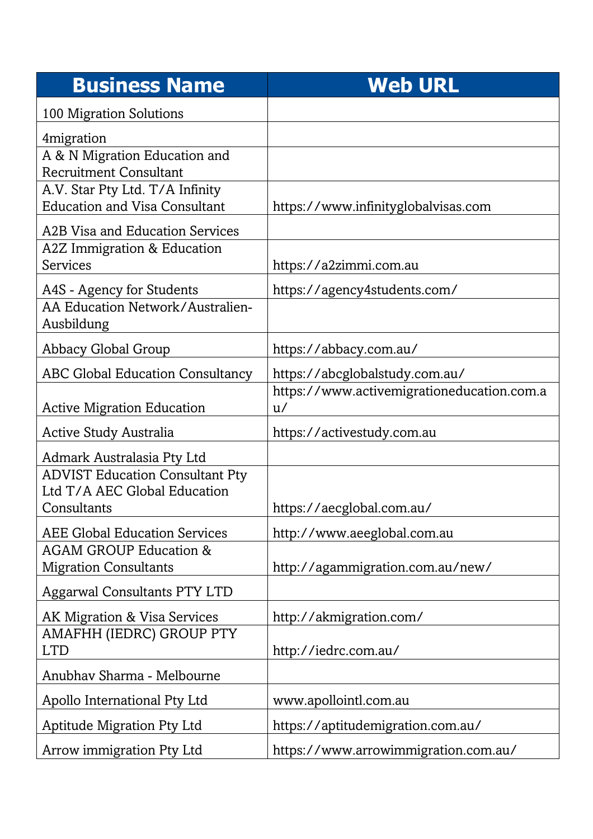| <b>Business Name</b>                                                    | <b>Web URL</b>                                   |
|-------------------------------------------------------------------------|--------------------------------------------------|
| 100 Migration Solutions                                                 |                                                  |
| 4migration                                                              |                                                  |
| A & N Migration Education and<br><b>Recruitment Consultant</b>          |                                                  |
| A.V. Star Pty Ltd. T/A Infinity<br><b>Education and Visa Consultant</b> | https://www.infinityglobalvisas.com              |
| A2B Visa and Education Services                                         |                                                  |
| A2Z Immigration & Education<br>Services                                 | https://a2zimmi.com.au                           |
| A4S - Agency for Students                                               | https://agency4students.com/                     |
| AA Education Network/Australien-<br>Ausbildung                          |                                                  |
| Abbacy Global Group                                                     | https://abbacy.com.au/                           |
| <b>ABC Global Education Consultancy</b>                                 | https://abcglobalstudy.com.au/                   |
| <b>Active Migration Education</b>                                       | https://www.activemigrationeducation.com.a<br>u/ |
| Active Study Australia                                                  | https://activestudy.com.au                       |
| Admark Australasia Pty Ltd                                              |                                                  |
| <b>ADVIST Education Consultant Pty</b><br>Ltd T/A AEC Global Education  |                                                  |
| Consultants                                                             | https://aecglobal.com.au/                        |
| <b>AEE Global Education Services</b>                                    | http://www.aeeglobal.com.au                      |
| <b>AGAM GROUP Education &amp;</b><br><b>Migration Consultants</b>       | http://agammigration.com.au/new/                 |
| <b>Aggarwal Consultants PTY LTD</b>                                     |                                                  |
| AK Migration & Visa Services                                            | http://akmigration.com/                          |
| AMAFHH (IEDRC) GROUP PTY                                                |                                                  |
| <b>LTD</b>                                                              | http://iedrc.com.au/                             |
| Anubhav Sharma - Melbourne                                              |                                                  |
| Apollo International Pty Ltd                                            | www.apollointl.com.au                            |
| <b>Aptitude Migration Pty Ltd</b>                                       | https://aptitudemigration.com.au/                |
| Arrow immigration Pty Ltd                                               | https://www.arrowimmigration.com.au/             |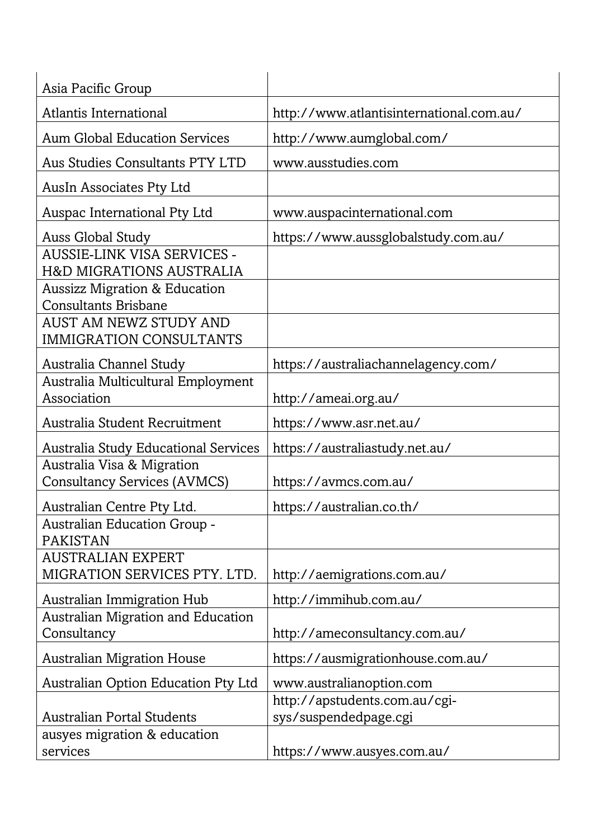| Asia Pacific Group                                                      |                                          |
|-------------------------------------------------------------------------|------------------------------------------|
| Atlantis International                                                  | http://www.atlantisinternational.com.au/ |
| <b>Aum Global Education Services</b>                                    | http://www.aumglobal.com/                |
| Aus Studies Consultants PTY LTD                                         | www.ausstudies.com                       |
| AusIn Associates Pty Ltd                                                |                                          |
| Auspac International Pty Ltd                                            | www.auspacinternational.com              |
| <b>Auss Global Study</b><br>AUSSIE-LINK VISA SERVICES -                 | https://www.aussglobalstudy.com.au/      |
| <b>H&amp;D MIGRATIONS AUSTRALIA</b>                                     |                                          |
| <b>Aussizz Migration &amp; Education</b><br><b>Consultants Brisbane</b> |                                          |
| <b>AUST AM NEWZ STUDY AND</b><br><b>IMMIGRATION CONSULTANTS</b>         |                                          |
| Australia Channel Study                                                 | https://australiachannelagency.com/      |
| Australia Multicultural Employment                                      |                                          |
| Association                                                             | http://ameai.org.au/                     |
| Australia Student Recruitment                                           | https://www.asr.net.au/                  |
| <b>Australia Study Educational Services</b>                             | https://australiastudy.net.au/           |
| Australia Visa & Migration                                              |                                          |
| <b>Consultancy Services (AVMCS)</b>                                     | https://avmcs.com.au/                    |
| Australian Centre Pty Ltd.                                              | https://australian.co.th/                |
| Australian Education Group -<br><b>PAKISTAN</b>                         |                                          |
| <b>AUSTRALIAN EXPERT</b><br>MIGRATION SERVICES PTY. LTD.                | http://aemigrations.com.au/              |
| <b>Australian Immigration Hub</b>                                       | http://immihub.com.au/                   |
| Australian Migration and Education<br>Consultancy                       | http://ameconsultancy.com.au/            |
| <b>Australian Migration House</b>                                       | https://ausmigrationhouse.com.au/        |
| <b>Australian Option Education Pty Ltd</b>                              | www.australianoption.com                 |
|                                                                         | http://apstudents.com.au/cgi-            |
| <b>Australian Portal Students</b>                                       | sys/suspendedpage.cgi                    |
| ausyes migration & education<br>services                                | https://www.ausyes.com.au/               |
|                                                                         |                                          |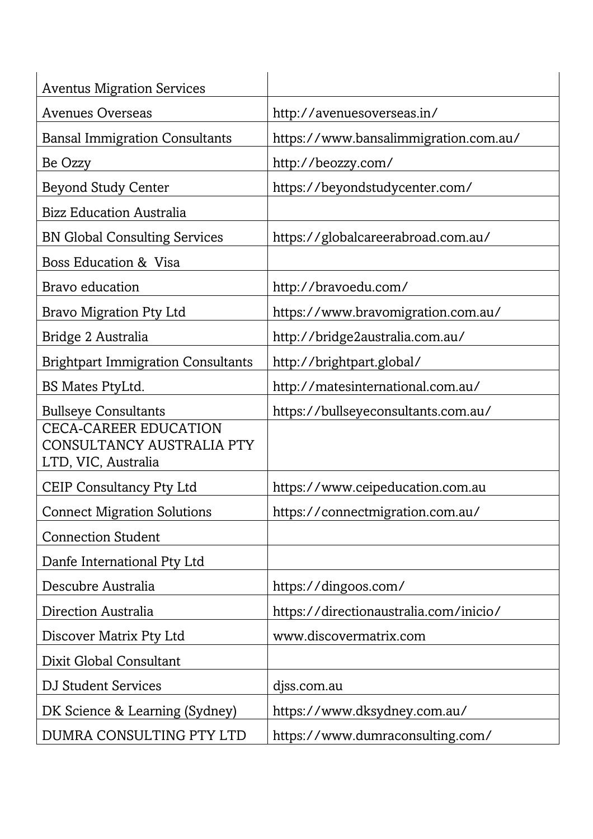| <b>Aventus Migration Services</b><br><b>Avenues Overseas</b> |                                        |
|--------------------------------------------------------------|----------------------------------------|
|                                                              | http://avenuesoverseas.in/             |
| <b>Bansal Immigration Consultants</b>                        | https://www.bansalimmigration.com.au/  |
| Be Ozzy                                                      | http://beozzy.com/                     |
| <b>Beyond Study Center</b>                                   | https://beyondstudycenter.com/         |
| <b>Bizz Education Australia</b>                              |                                        |
| <b>BN Global Consulting Services</b>                         | https://globalcareerabroad.com.au/     |
| Boss Education & Visa                                        |                                        |
| Bravo education                                              | http://bravoedu.com/                   |
| <b>Bravo Migration Pty Ltd</b>                               | https://www.bravomigration.com.au/     |
| Bridge 2 Australia                                           | http://bridge2australia.com.au/        |
| <b>Brightpart Immigration Consultants</b>                    | http://brightpart.global/              |
| BS Mates PtyLtd.                                             | http://matesinternational.com.au/      |
| <b>Bullseye Consultants</b><br><b>CECA-CAREER EDUCATION</b>  | https://bullseyeconsultants.com.au/    |
| CONSULTANCY AUSTRALIA PTY<br>LTD, VIC, Australia             |                                        |
| <b>CEIP Consultancy Pty Ltd</b>                              | https://www.ceipeducation.com.au       |
| <b>Connect Migration Solutions</b>                           | https://connectmigration.com.au/       |
| <b>Connection Student</b>                                    |                                        |
| Danfe International Pty Ltd                                  |                                        |
| Descubre Australia                                           | https://dingoos.com/                   |
| Direction Australia                                          | https://directionaustralia.com/inicio/ |
| Discover Matrix Pty Ltd                                      | www.discovermatrix.com                 |
| Dixit Global Consultant                                      |                                        |
| <b>DJ Student Services</b>                                   | djss.com.au                            |
| DK Science & Learning (Sydney)                               | https://www.dksydney.com.au/           |
| DUMRA CONSULTING PTY LTD                                     | https://www.dumraconsulting.com/       |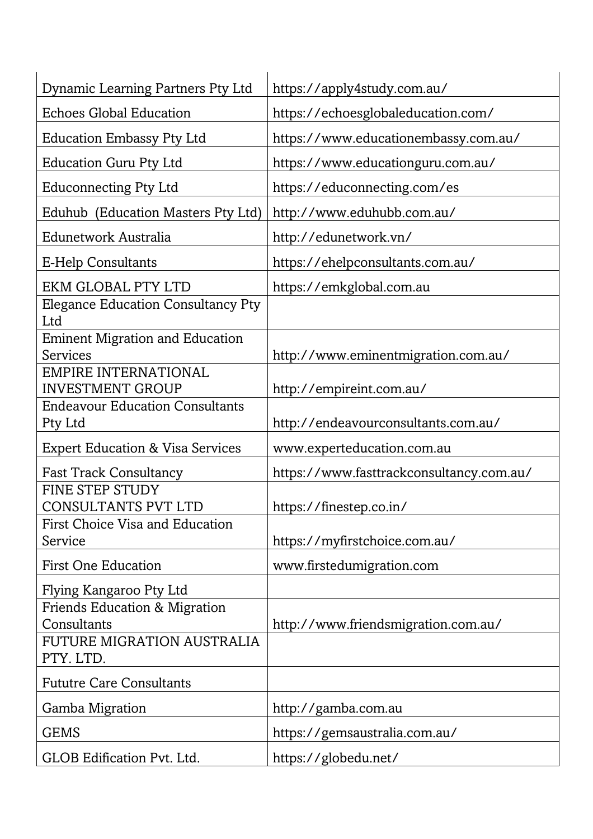| Dynamic Learning Partners Pty Ltd                                                                         | https://apply4study.com.au/              |
|-----------------------------------------------------------------------------------------------------------|------------------------------------------|
| <b>Echoes Global Education</b>                                                                            | https://echoesglobaleducation.com/       |
| <b>Education Embassy Pty Ltd</b>                                                                          | https://www.educationembassy.com.au/     |
| <b>Education Guru Pty Ltd</b>                                                                             | https://www.educationguru.com.au/        |
| <b>Educonnecting Pty Ltd</b>                                                                              | https://educonnecting.com/es             |
| Eduhub (Education Masters Pty Ltd)                                                                        | http://www.eduhubb.com.au/               |
| Edunetwork Australia                                                                                      | http://edunetwork.vn/                    |
| <b>E-Help Consultants</b>                                                                                 | https://ehelpconsultants.com.au/         |
| <b>EKM GLOBAL PTY LTD</b>                                                                                 | https://emkglobal.com.au                 |
| <b>Elegance Education Consultancy Pty</b><br>Ltd                                                          |                                          |
| <b>Eminent Migration and Education</b><br>Services                                                        | http://www.eminentmigration.com.au/      |
| <b>EMPIRE INTERNATIONAL</b><br><b>INVESTMENT GROUP</b>                                                    | http://empireint.com.au/                 |
| <b>Endeavour Education Consultants</b>                                                                    |                                          |
| Pty Ltd                                                                                                   | http://endeavourconsultants.com.au/      |
| <b>Expert Education &amp; Visa Services</b>                                                               | www.experteducation.com.au               |
| <b>Fast Track Consultancy</b>                                                                             | https://www.fasttrackconsultancy.com.au/ |
| <b>FINE STEP STUDY</b><br>CONSULTANTS PVT LTD                                                             | https://finestep.co.in/                  |
| <b>First Choice Visa and Education</b><br>Service                                                         | https://myfirstchoice.com.au/            |
| <b>First One Education</b>                                                                                | www.firstedumigration.com                |
| Flying Kangaroo Pty Ltd                                                                                   |                                          |
| <b>Friends Education &amp; Migration</b><br>Consultants<br><b>FUTURE MIGRATION AUSTRALIA</b><br>PTY. LTD. | http://www.friendsmigration.com.au/      |
| <b>Fututre Care Consultants</b>                                                                           |                                          |
| <b>Gamba Migration</b>                                                                                    | http://gamba.com.au                      |
| <b>GEMS</b>                                                                                               | https://gemsaustralia.com.au/            |
|                                                                                                           | https://globedu.net/                     |
| GLOB Edification Pvt. Ltd.                                                                                |                                          |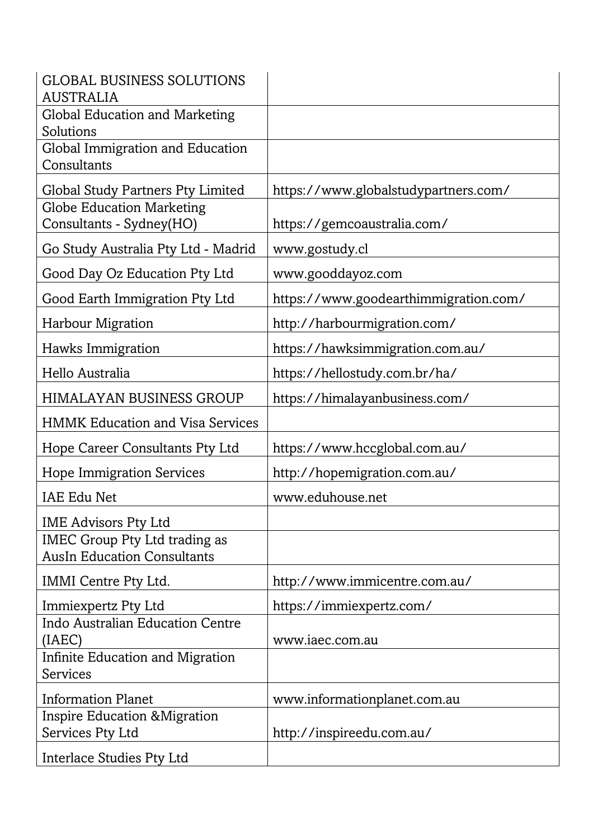| <b>GLOBAL BUSINESS SOLUTIONS</b><br><b>AUSTRALIA</b>                       |                                       |
|----------------------------------------------------------------------------|---------------------------------------|
| <b>Global Education and Marketing</b><br>Solutions                         |                                       |
| Global Immigration and Education<br>Consultants                            |                                       |
| <b>Global Study Partners Pty Limited</b>                                   | https://www.globalstudypartners.com/  |
| <b>Globe Education Marketing</b><br>Consultants - Sydney(HO)               | https://gemcoaustralia.com/           |
| Go Study Australia Pty Ltd - Madrid                                        | www.gostudy.cl                        |
| Good Day Oz Education Pty Ltd                                              | www.gooddayoz.com                     |
| Good Earth Immigration Pty Ltd                                             | https://www.goodearthimmigration.com/ |
| <b>Harbour Migration</b>                                                   | http://harbourmigration.com/          |
| Hawks Immigration                                                          | https://hawksimmigration.com.au/      |
| Hello Australia                                                            | https://hellostudy.com.br/ha/         |
| <b>HIMALAYAN BUSINESS GROUP</b>                                            | https://himalayanbusiness.com/        |
| <b>HMMK Education and Visa Services</b>                                    |                                       |
| Hope Career Consultants Pty Ltd                                            | https://www.hccglobal.com.au/         |
| <b>Hope Immigration Services</b>                                           | http://hopemigration.com.au/          |
| <b>IAE Edu Net</b>                                                         | www.eduhouse.net                      |
| <b>IME Advisors Pty Ltd</b>                                                |                                       |
| <b>IMEC Group Pty Ltd trading as</b><br><b>AusIn Education Consultants</b> |                                       |
| IMMI Centre Pty Ltd.                                                       | http://www.immicentre.com.au/         |
| Immiexpertz Pty Ltd                                                        | https://immiexpertz.com/              |
| Indo Australian Education Centre<br>(IAEC)                                 | www.iaec.com.au                       |
| Infinite Education and Migration<br><b>Services</b>                        |                                       |
| <b>Information Planet</b>                                                  | www.informationplanet.com.au          |
| Inspire Education & Migration                                              |                                       |
| Services Pty Ltd                                                           | http://inspireedu.com.au/             |
| Interlace Studies Pty Ltd                                                  |                                       |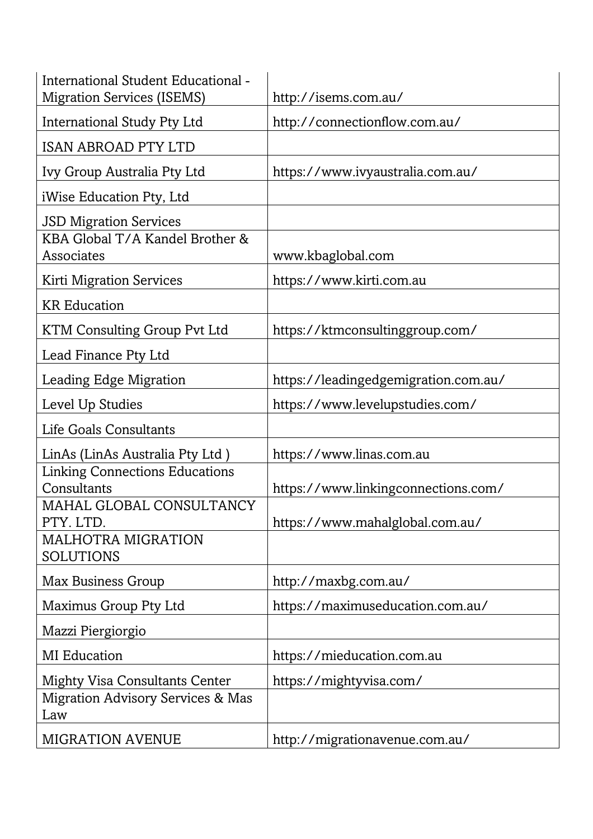| International Student Educational -<br><b>Migration Services (ISEMS)</b>          | http://isems.com.au/                 |
|-----------------------------------------------------------------------------------|--------------------------------------|
| International Study Pty Ltd                                                       | http://connectionflow.com.au/        |
| <b>ISAN ABROAD PTY LTD</b>                                                        |                                      |
| Ivy Group Australia Pty Ltd                                                       | https://www.ivyaustralia.com.au/     |
| iWise Education Pty, Ltd                                                          |                                      |
| <b>JSD Migration Services</b><br>KBA Global T/A Kandel Brother &<br>Associates    | www.kbaglobal.com                    |
| <b>Kirti Migration Services</b>                                                   | https://www.kirti.com.au             |
| <b>KR</b> Education                                                               |                                      |
| KTM Consulting Group Pvt Ltd                                                      | https://ktmconsultinggroup.com/      |
| Lead Finance Pty Ltd                                                              |                                      |
| Leading Edge Migration                                                            | https://leadingedgemigration.com.au/ |
| Level Up Studies                                                                  | https://www.levelupstudies.com/      |
| Life Goals Consultants                                                            |                                      |
| LinAs (LinAs Australia Pty Ltd)                                                   | https://www.linas.com.au             |
| <b>Linking Connections Educations</b><br>Consultants                              | https://www.linkingconnections.com/  |
| MAHAL GLOBAL CONSULTANCY<br>PTY. LTD.                                             | https://www.mahalglobal.com.au/      |
| <b>MALHOTRA MIGRATION</b><br><b>SOLUTIONS</b>                                     |                                      |
| Max Business Group                                                                | http://maxbg.com.au/                 |
| Maximus Group Pty Ltd                                                             | https://maximuseducation.com.au/     |
| Mazzi Piergiorgio                                                                 |                                      |
| <b>MI</b> Education                                                               | https://mieducation.com.au           |
| <b>Mighty Visa Consultants Center</b><br>Migration Advisory Services & Mas<br>Law | https://mightyvisa.com/              |
| <b>MIGRATION AVENUE</b>                                                           | http://migrationavenue.com.au/       |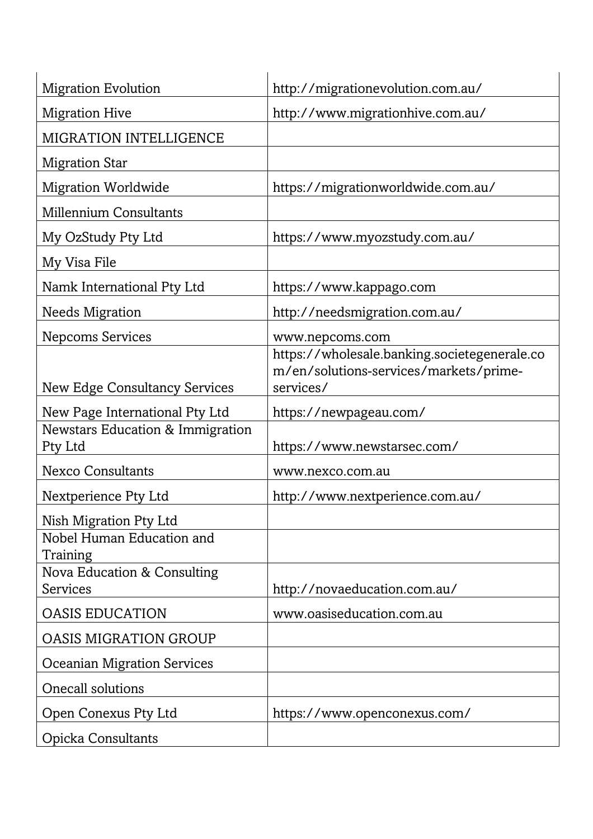| <b>Migration Evolution</b>                                                                                        | http://migrationevolution.com.au/                                                                                      |
|-------------------------------------------------------------------------------------------------------------------|------------------------------------------------------------------------------------------------------------------------|
| <b>Migration Hive</b>                                                                                             | http://www.migrationhive.com.au/                                                                                       |
| <b>MIGRATION INTELLIGENCE</b>                                                                                     |                                                                                                                        |
| <b>Migration Star</b>                                                                                             |                                                                                                                        |
| <b>Migration Worldwide</b>                                                                                        | https://migrationworldwide.com.au/                                                                                     |
| <b>Millennium Consultants</b>                                                                                     |                                                                                                                        |
| My OzStudy Pty Ltd                                                                                                | https://www.myozstudy.com.au/                                                                                          |
| My Visa File                                                                                                      |                                                                                                                        |
| Namk International Pty Ltd                                                                                        | https://www.kappago.com                                                                                                |
| <b>Needs Migration</b>                                                                                            | http://needsmigration.com.au/                                                                                          |
| <b>Nepcoms Services</b><br><b>New Edge Consultancy Services</b>                                                   | www.nepcoms.com<br>https://wholesale.banking.societegenerale.co<br>m/en/solutions-services/markets/prime-<br>services/ |
| New Page International Pty Ltd                                                                                    | https://newpageau.com/                                                                                                 |
| Newstars Education & Immigration<br>Pty Ltd                                                                       | https://www.newstarsec.com/                                                                                            |
| <b>Nexco Consultants</b>                                                                                          | www.nexco.com.au                                                                                                       |
| Nextperience Pty Ltd                                                                                              | http://www.nextperience.com.au/                                                                                        |
| Nish Migration Pty Ltd<br>Nobel Human Education and<br>Training<br>Nova Education & Consulting<br><b>Services</b> | http://novaeducation.com.au/                                                                                           |
| <b>OASIS EDUCATION</b>                                                                                            | www.oasiseducation.com.au                                                                                              |
| <b>OASIS MIGRATION GROUP</b>                                                                                      |                                                                                                                        |
| <b>Oceanian Migration Services</b>                                                                                |                                                                                                                        |
| <b>Onecall solutions</b>                                                                                          |                                                                                                                        |
| Open Conexus Pty Ltd                                                                                              | https://www.openconexus.com/                                                                                           |
| <b>Opicka Consultants</b>                                                                                         |                                                                                                                        |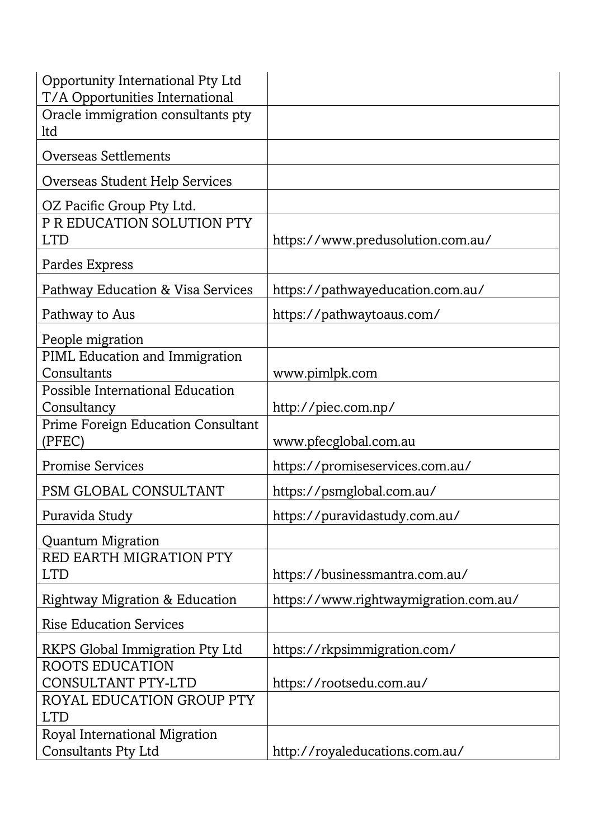| Opportunity International Pty Ltd<br>T/A Opportunities International |                                       |
|----------------------------------------------------------------------|---------------------------------------|
| Oracle immigration consultants pty<br>ltd                            |                                       |
| <b>Overseas Settlements</b>                                          |                                       |
| Overseas Student Help Services                                       |                                       |
| OZ Pacific Group Pty Ltd.                                            |                                       |
| P R EDUCATION SOLUTION PTY<br><b>LTD</b>                             | https://www.predusolution.com.au/     |
| Pardes Express                                                       |                                       |
| Pathway Education & Visa Services                                    | https://pathwayeducation.com.au/      |
| Pathway to Aus                                                       | https://pathwaytoaus.com/             |
| People migration                                                     |                                       |
| PIML Education and Immigration<br>Consultants                        | www.pimlpk.com                        |
| Possible International Education<br>Consultancy                      | http://piec.com.np/                   |
| <b>Prime Foreign Education Consultant</b><br>(PFEC)                  | www.pfecglobal.com.au                 |
| <b>Promise Services</b>                                              | https://promiseservices.com.au/       |
| PSM GLOBAL CONSULTANT                                                | https://psmglobal.com.au/             |
| Puravida Study                                                       | https://puravidastudy.com.au/         |
| <b>Quantum Migration</b>                                             |                                       |
| RED EARTH MIGRATION PTY<br><b>LTD</b>                                | https://businessmantra.com.au/        |
| <b>Rightway Migration &amp; Education</b>                            | https://www.rightwaymigration.com.au/ |
| <b>Rise Education Services</b>                                       |                                       |
| <b>RKPS Global Immigration Pty Ltd</b>                               | https://rkpsimmigration.com/          |
| <b>ROOTS EDUCATION</b>                                               |                                       |
| CONSULTANT PTY-LTD<br>ROYAL EDUCATION GROUP PTY                      | https://rootsedu.com.au/              |
| <b>LTD</b>                                                           |                                       |
| Royal International Migration<br><b>Consultants Pty Ltd</b>          | http://royaleducations.com.au/        |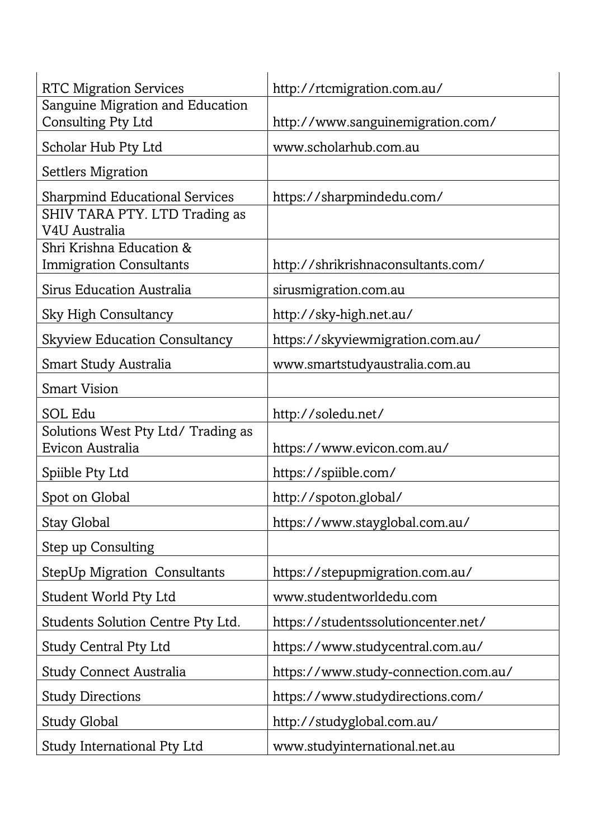| <b>RTC Migration Services</b>             | http://rtcmigration.com.au/          |
|-------------------------------------------|--------------------------------------|
| Sanguine Migration and Education          |                                      |
| Consulting Pty Ltd                        | http://www.sanguinemigration.com/    |
| Scholar Hub Pty Ltd                       | www.scholarhub.com.au                |
| <b>Settlers Migration</b>                 |                                      |
| <b>Sharpmind Educational Services</b>     | https://sharpmindedu.com/            |
| SHIV TARA PTY. LTD Trading as             |                                      |
| V4U Australia<br>Shri Krishna Education & |                                      |
| <b>Immigration Consultants</b>            | http://shrikrishnaconsultants.com/   |
| Sirus Education Australia                 | sirusmigration.com.au                |
| <b>Sky High Consultancy</b>               | http://sky-high.net.au/              |
| <b>Skyview Education Consultancy</b>      | https://skyviewmigration.com.au/     |
| Smart Study Australia                     | www.smartstudyaustralia.com.au       |
| <b>Smart Vision</b>                       |                                      |
| <b>SOL Edu</b>                            | http://soledu.net/                   |
| Solutions West Pty Ltd/ Trading as        |                                      |
| Evicon Australia                          | https://www.evicon.com.au/           |
| Spiible Pty Ltd                           | https://spiible.com/                 |
| Spot on Global                            | http://spoton.global/                |
| <b>Stay Global</b>                        | https://www.stayglobal.com.au/       |
| Step up Consulting                        |                                      |
| <b>StepUp Migration Consultants</b>       | https://stepupmigration.com.au/      |
| Student World Pty Ltd                     | www.studentworldedu.com              |
| Students Solution Centre Pty Ltd.         | https://studentssolutioncenter.net/  |
| <b>Study Central Pty Ltd</b>              | https://www.studycentral.com.au/     |
| <b>Study Connect Australia</b>            | https://www.study-connection.com.au/ |
| <b>Study Directions</b>                   | https://www.studydirections.com/     |
| <b>Study Global</b>                       | http://studyglobal.com.au/           |
| Study International Pty Ltd               | www.studyinternational.net.au        |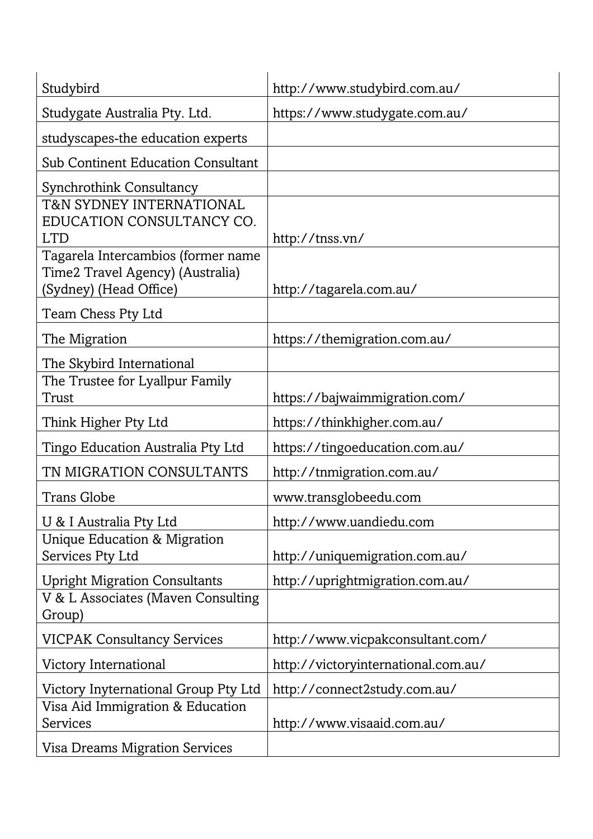| Studybird                                                                                        | http://www.studybird.com.au/        |
|--------------------------------------------------------------------------------------------------|-------------------------------------|
| Studygate Australia Pty. Ltd.                                                                    | https://www.studygate.com.au/       |
| studyscapes-the education experts                                                                |                                     |
| <b>Sub Continent Education Consultant</b>                                                        |                                     |
| <b>Synchrothink Consultancy</b>                                                                  |                                     |
| <b>T&amp;N SYDNEY INTERNATIONAL</b><br>EDUCATION CONSULTANCY CO.<br><b>LTD</b>                   | http://tnss.vn/                     |
| Tagarela Intercambios (former name<br>Time2 Travel Agency) (Australia)<br>(Sydney) (Head Office) | http://tagarela.com.au/             |
| Team Chess Pty Ltd                                                                               |                                     |
| The Migration                                                                                    | https://themigration.com.au/        |
| The Skybird International                                                                        |                                     |
| The Trustee for Lyallpur Family<br>Trust                                                         | https://bajwaimmigration.com/       |
| Think Higher Pty Ltd                                                                             | https://thinkhigher.com.au/         |
| Tingo Education Australia Pty Ltd                                                                | https://tingoeducation.com.au/      |
| TN MIGRATION CONSULTANTS                                                                         | http://tnmigration.com.au/          |
| <b>Trans Globe</b>                                                                               | www.transglobeedu.com               |
| U & I Australia Pty Ltd                                                                          | http://www.uandiedu.com             |
| Unique Education & Migration<br>Services Pty Ltd                                                 | http://uniquemigration.com.au/      |
| <b>Upright Migration Consultants</b>                                                             | http://uprightmigration.com.au/     |
| V & L Associates (Maven Consulting<br>Group)                                                     |                                     |
| <b>VICPAK Consultancy Services</b>                                                               | http://www.vicpakconsultant.com/    |
| Victory International                                                                            | http://victoryinternational.com.au/ |
| Victory Inyternational Group Pty Ltd                                                             | http://connect2study.com.au/        |
| Visa Aid Immigration & Education<br>Services                                                     | http://www.visaaid.com.au/          |
| <b>Visa Dreams Migration Services</b>                                                            |                                     |